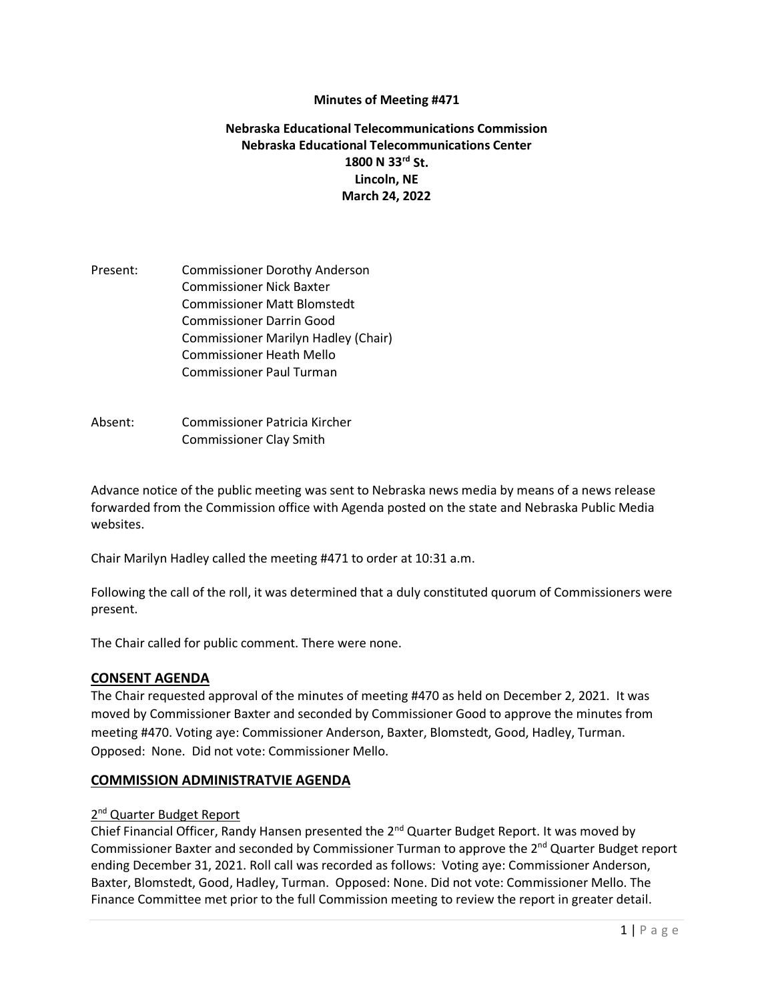### **Minutes of Meeting #471**

## **Nebraska Educational Telecommunications Commission Nebraska Educational Telecommunications Center 1800 N 33rd St. Lincoln, NE March 24, 2022**

- Present: Commissioner Dorothy Anderson Commissioner Nick Baxter Commissioner Matt Blomstedt Commissioner Darrin Good Commissioner Marilyn Hadley (Chair) Commissioner Heath Mello Commissioner Paul Turman
- Absent: Commissioner Patricia Kircher Commissioner Clay Smith

Advance notice of the public meeting was sent to Nebraska news media by means of a news release forwarded from the Commission office with Agenda posted on the state and Nebraska Public Media websites.

Chair Marilyn Hadley called the meeting #471 to order at 10:31 a.m.

Following the call of the roll, it was determined that a duly constituted quorum of Commissioners were present.

The Chair called for public comment. There were none.

#### **CONSENT AGENDA**

The Chair requested approval of the minutes of meeting #470 as held on December 2, 2021. It was moved by Commissioner Baxter and seconded by Commissioner Good to approve the minutes from meeting #470. Voting aye: Commissioner Anderson, Baxter, Blomstedt, Good, Hadley, Turman. Opposed: None. Did not vote: Commissioner Mello.

#### **COMMISSION ADMINISTRATVIE AGENDA**

#### 2<sup>nd</sup> Quarter Budget Report

Chief Financial Officer, Randy Hansen presented the  $2^{nd}$  Quarter Budget Report. It was moved by Commissioner Baxter and seconded by Commissioner Turman to approve the 2<sup>nd</sup> Quarter Budget report ending December 31, 2021. Roll call was recorded as follows: Voting aye: Commissioner Anderson, Baxter, Blomstedt, Good, Hadley, Turman. Opposed: None. Did not vote: Commissioner Mello. The Finance Committee met prior to the full Commission meeting to review the report in greater detail.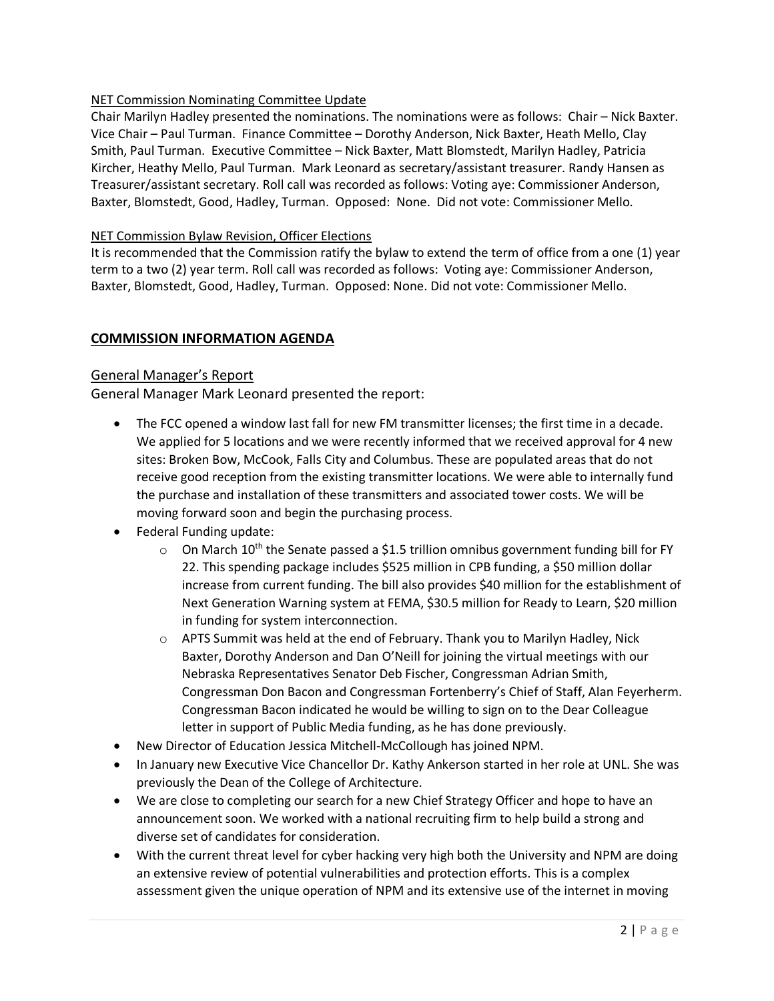## NET Commission Nominating Committee Update

Chair Marilyn Hadley presented the nominations. The nominations were as follows: Chair – Nick Baxter. Vice Chair – Paul Turman. Finance Committee – Dorothy Anderson, Nick Baxter, Heath Mello, Clay Smith, Paul Turman. Executive Committee – Nick Baxter, Matt Blomstedt, Marilyn Hadley, Patricia Kircher, Heathy Mello, Paul Turman. Mark Leonard as secretary/assistant treasurer. Randy Hansen as Treasurer/assistant secretary. Roll call was recorded as follows: Voting aye: Commissioner Anderson, Baxter, Blomstedt, Good, Hadley, Turman. Opposed: None. Did not vote: Commissioner Mello.

### NET Commission Bylaw Revision, Officer Elections

It is recommended that the Commission ratify the bylaw to extend the term of office from a one (1) year term to a two (2) year term. Roll call was recorded as follows: Voting aye: Commissioner Anderson, Baxter, Blomstedt, Good, Hadley, Turman. Opposed: None. Did not vote: Commissioner Mello.

## **COMMISSION INFORMATION AGENDA**

## General Manager's Report

General Manager Mark Leonard presented the report:

- The FCC opened a window last fall for new FM transmitter licenses; the first time in a decade. We applied for 5 locations and we were recently informed that we received approval for 4 new sites: Broken Bow, McCook, Falls City and Columbus. These are populated areas that do not receive good reception from the existing transmitter locations. We were able to internally fund the purchase and installation of these transmitters and associated tower costs. We will be moving forward soon and begin the purchasing process.
- Federal Funding update:
	- $\circ$  On March 10<sup>th</sup> the Senate passed a \$1.5 trillion omnibus government funding bill for FY 22. This spending package includes \$525 million in CPB funding, a \$50 million dollar increase from current funding. The bill also provides \$40 million for the establishment of Next Generation Warning system at FEMA, \$30.5 million for Ready to Learn, \$20 million in funding for system interconnection.
	- o APTS Summit was held at the end of February. Thank you to Marilyn Hadley, Nick Baxter, Dorothy Anderson and Dan O'Neill for joining the virtual meetings with our Nebraska Representatives Senator Deb Fischer, Congressman Adrian Smith, Congressman Don Bacon and Congressman Fortenberry's Chief of Staff, Alan Feyerherm. Congressman Bacon indicated he would be willing to sign on to the Dear Colleague letter in support of Public Media funding, as he has done previously.
- New Director of Education Jessica Mitchell-McCollough has joined NPM.
- In January new Executive Vice Chancellor Dr. Kathy Ankerson started in her role at UNL. She was previously the Dean of the College of Architecture.
- We are close to completing our search for a new Chief Strategy Officer and hope to have an announcement soon. We worked with a national recruiting firm to help build a strong and diverse set of candidates for consideration.
- With the current threat level for cyber hacking very high both the University and NPM are doing an extensive review of potential vulnerabilities and protection efforts. This is a complex assessment given the unique operation of NPM and its extensive use of the internet in moving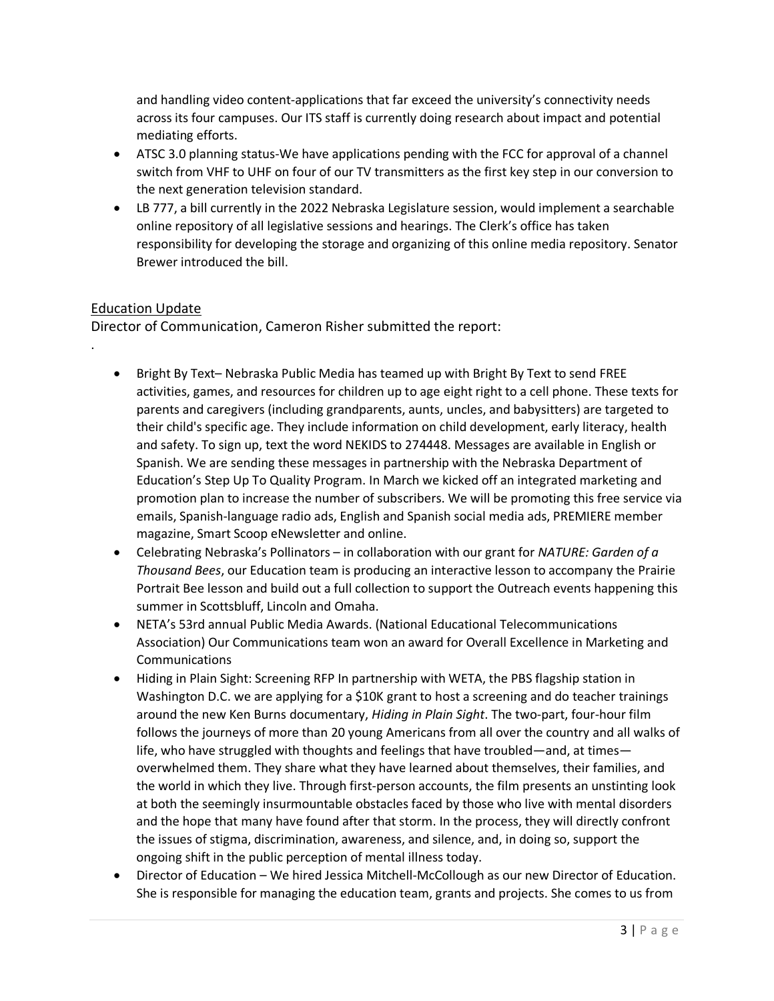and handling video content-applications that far exceed the university's connectivity needs across its four campuses. Our ITS staff is currently doing research about impact and potential mediating efforts.

- ATSC 3.0 planning status-We have applications pending with the FCC for approval of a channel switch from VHF to UHF on four of our TV transmitters as the first key step in our conversion to the next generation television standard.
- LB 777, a bill currently in the 2022 Nebraska Legislature session, would implement a searchable online repository of all legislative sessions and hearings. The Clerk's office has taken responsibility for developing the storage and organizing of this online media repository. Senator Brewer introduced the bill.

# Education Update

.

Director of Communication, Cameron Risher submitted the report:

- Bright By Text– Nebraska Public Media has teamed up with Bright By Text to send FREE activities, games, and resources for children up to age eight right to a cell phone. These texts for parents and caregivers (including grandparents, aunts, uncles, and babysitters) are targeted to their child's specific age. They include information on child development, early literacy, health and safety. To sign up, text the word NEKIDS to 274448. Messages are available in English or Spanish. We are sending these messages in partnership with the Nebraska Department of Education's Step Up To Quality Program. In March we kicked off an integrated marketing and promotion plan to increase the number of subscribers. We will be promoting this free service via emails, Spanish-language radio ads, English and Spanish social media ads, PREMIERE member magazine, Smart Scoop eNewsletter and online.
- Celebrating Nebraska's Pollinators in collaboration with our grant for *NATURE: Garden of a Thousand Bees*, our Education team is producing an interactive lesson to accompany the Prairie Portrait Bee lesson and build out a full collection to support the Outreach events happening this summer in Scottsbluff, Lincoln and Omaha.
- NETA's 53rd annual Public Media Awards. (National Educational Telecommunications Association) Our Communications team won an award for Overall Excellence in Marketing and Communications
- Hiding in Plain Sight: Screening RFP In partnership with WETA, the PBS flagship station in Washington D.C. we are applying for a \$10K grant to host a screening and do teacher trainings around the new Ken Burns documentary, *Hiding in Plain Sight*. The two-part, four-hour film follows the journeys of more than 20 young Americans from all over the country and all walks of life, who have struggled with thoughts and feelings that have troubled—and, at times overwhelmed them. They share what they have learned about themselves, their families, and the world in which they live. Through first-person accounts, the film presents an unstinting look at both the seemingly insurmountable obstacles faced by those who live with mental disorders and the hope that many have found after that storm. In the process, they will directly confront the issues of stigma, discrimination, awareness, and silence, and, in doing so, support the ongoing shift in the public perception of mental illness today.
- Director of Education We hired Jessica Mitchell-McCollough as our new Director of Education. She is responsible for managing the education team, grants and projects. She comes to us from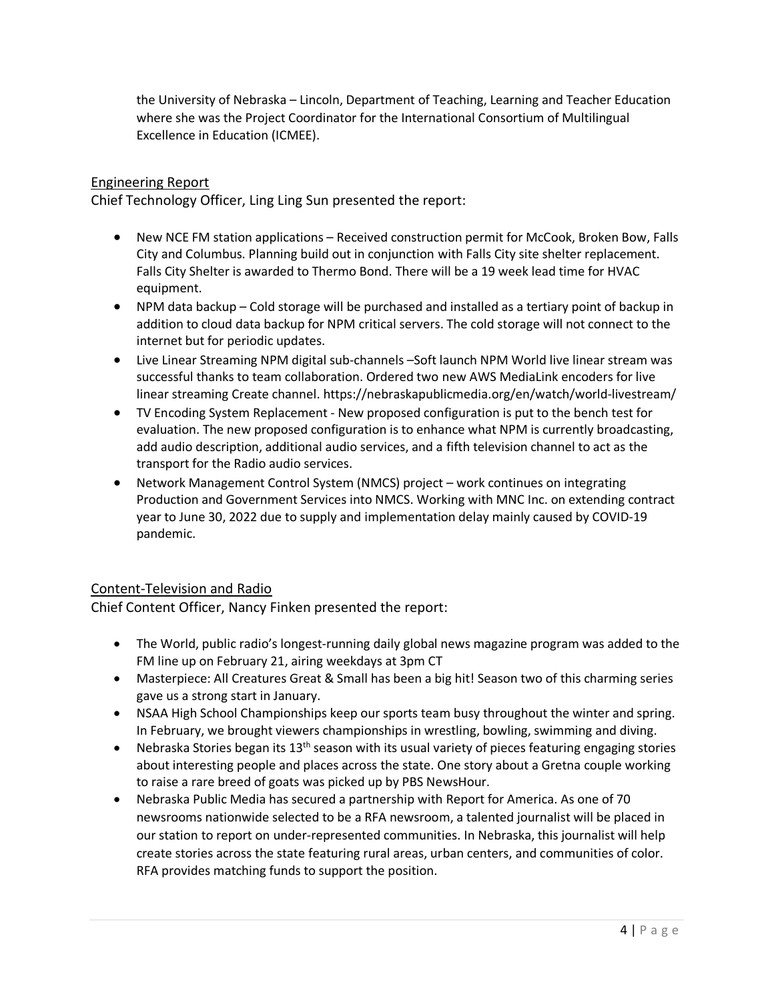the University of Nebraska – Lincoln, Department of Teaching, Learning and Teacher Education where she was the Project Coordinator for the International Consortium of Multilingual Excellence in Education (ICMEE).

# Engineering Report

Chief Technology Officer, Ling Ling Sun presented the report:

- New NCE FM station applications Received construction permit for McCook, Broken Bow, Falls City and Columbus. Planning build out in conjunction with Falls City site shelter replacement. Falls City Shelter is awarded to Thermo Bond. There will be a 19 week lead time for HVAC equipment.
- NPM data backup Cold storage will be purchased and installed as a tertiary point of backup in addition to cloud data backup for NPM critical servers. The cold storage will not connect to the internet but for periodic updates.
- Live Linear Streaming NPM digital sub-channels –Soft launch NPM World live linear stream was successful thanks to team collaboration. Ordered two new AWS MediaLink encoders for live linear streaming Create channel.<https://nebraskapublicmedia.org/en/watch/world-livestream/>
- TV Encoding System Replacement New proposed configuration is put to the bench test for evaluation. The new proposed configuration is to enhance what NPM is currently broadcasting, add audio description, additional audio services, and a fifth television channel to act as the transport for the Radio audio services.
- Network Management Control System (NMCS) project work continues on integrating Production and Government Services into NMCS. Working with MNC Inc. on extending contract year to June 30, 2022 due to supply and implementation delay mainly caused by COVID-19 pandemic.

## Content-Television and Radio

Chief Content Officer, Nancy Finken presented the report:

- The World, public radio's longest-running daily global news magazine program was added to the FM line up on February 21, airing weekdays at 3pm CT
- Masterpiece: All Creatures Great & Small has been a big hit! Season two of this charming series gave us a strong start in January.
- NSAA High School Championships keep our sports team busy throughout the winter and spring. In February, we brought viewers championships in wrestling, bowling, swimming and diving.
- Nebraska Stories began its  $13<sup>th</sup>$  season with its usual variety of pieces featuring engaging stories about interesting people and places across the state. One story about a Gretna couple working to raise a rare breed of goats was picked up by PBS NewsHour.
- Nebraska Public Media has secured a partnership with Report for America. As one of 70 newsrooms nationwide selected to be a RFA newsroom, a talented journalist will be placed in our station to report on under-represented communities. In Nebraska, this journalist will help create stories across the state featuring rural areas, urban centers, and communities of color. RFA provides matching funds to support the position.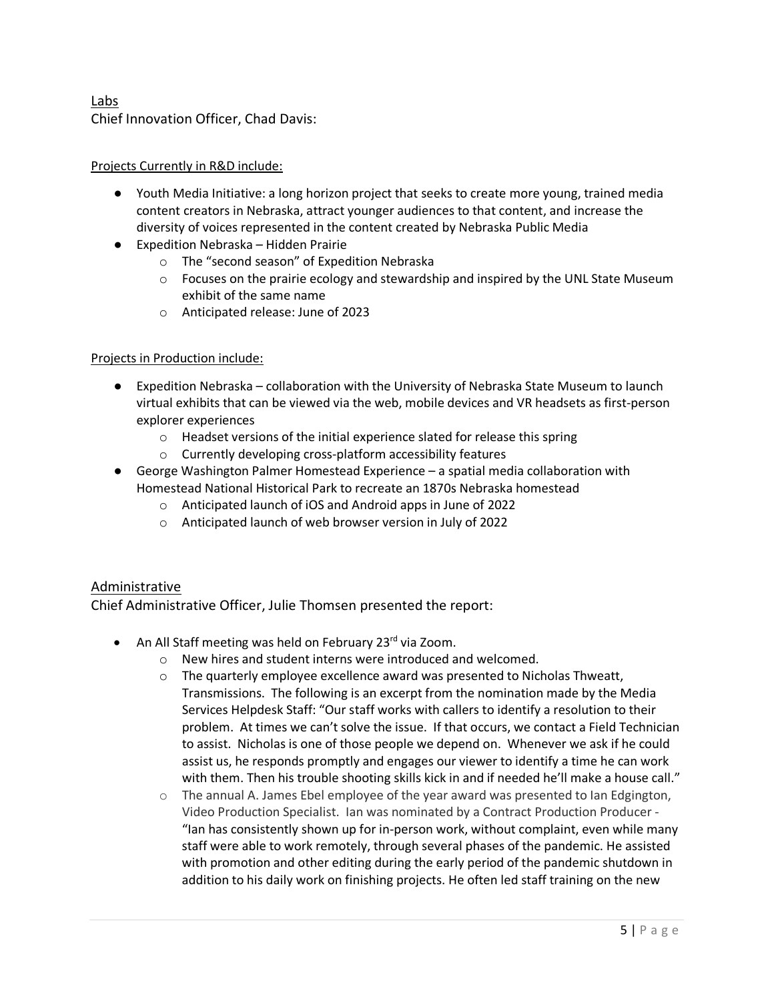# Labs Chief Innovation Officer, Chad Davis:

## Projects Currently in R&D include:

- Youth Media Initiative: a long horizon project that seeks to create more young, trained media content creators in Nebraska, attract younger audiences to that content, and increase the diversity of voices represented in the content created by Nebraska Public Media
- Expedition Nebraska Hidden Prairie
	- o The "second season" of Expedition Nebraska
	- $\circ$  Focuses on the prairie ecology and stewardship and inspired by the UNL State Museum exhibit of the same name
	- o Anticipated release: June of 2023

### Projects in Production include:

- Expedition Nebraska collaboration with the University of Nebraska State Museum to launch virtual exhibits that can be viewed via the web, mobile devices and VR headsets as first-person explorer experiences
	- o Headset versions of the initial experience slated for release this spring
	- o Currently developing cross-platform accessibility features
- George Washington Palmer Homestead Experience a spatial media collaboration with Homestead National Historical Park to recreate an 1870s Nebraska homestead
	- o Anticipated launch of iOS and Android apps in June of 2022
	- o Anticipated launch of web browser version in July of 2022

## Administrative

Chief Administrative Officer, Julie Thomsen presented the report:

- An All Staff meeting was held on February 23<sup>rd</sup> via Zoom.
	- o New hires and student interns were introduced and welcomed.
	- $\circ$  The quarterly employee excellence award was presented to Nicholas Thweatt, Transmissions. The following is an excerpt from the nomination made by the Media Services Helpdesk Staff: "Our staff works with callers to identify a resolution to their problem. At times we can't solve the issue. If that occurs, we contact a Field Technician to assist. Nicholas is one of those people we depend on. Whenever we ask if he could assist us, he responds promptly and engages our viewer to identify a time he can work with them. Then his trouble shooting skills kick in and if needed he'll make a house call."
	- $\circ$  The annual A. James Ebel employee of the year award was presented to Ian Edgington, Video Production Specialist. Ian was nominated by a Contract Production Producer -"Ian has consistently shown up for in-person work, without complaint, even while many staff were able to work remotely, through several phases of the pandemic. He assisted with promotion and other editing during the early period of the pandemic shutdown in addition to his daily work on finishing projects. He often led staff training on the new